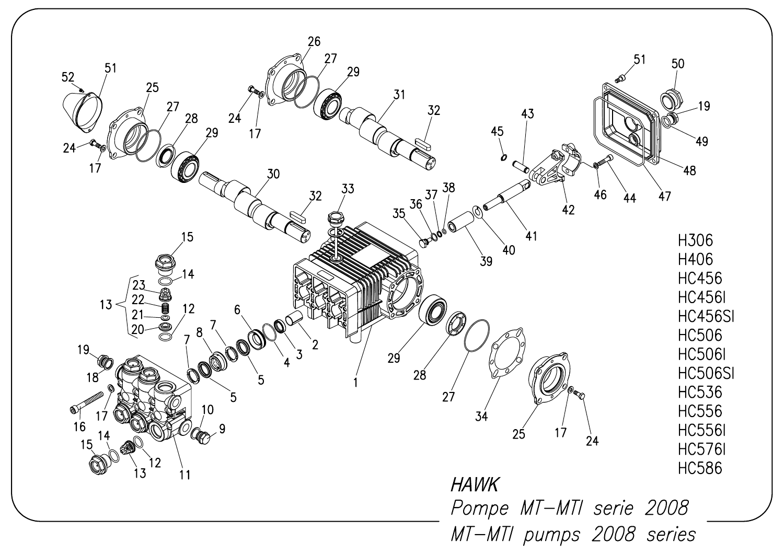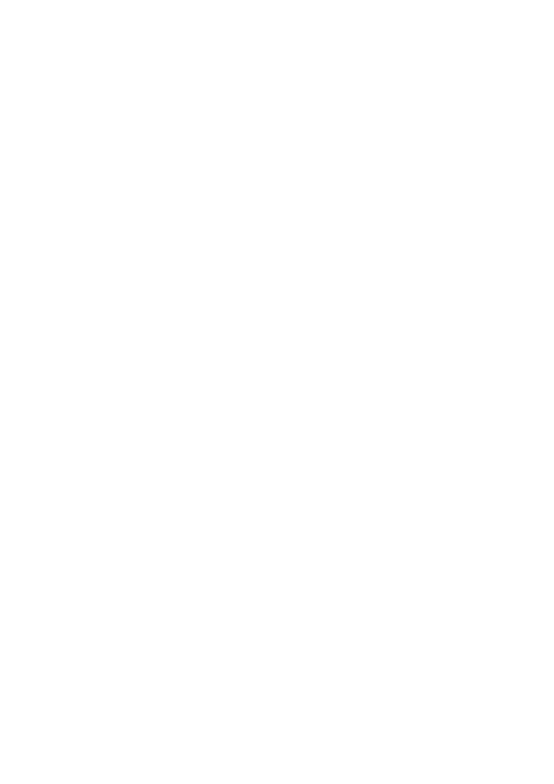



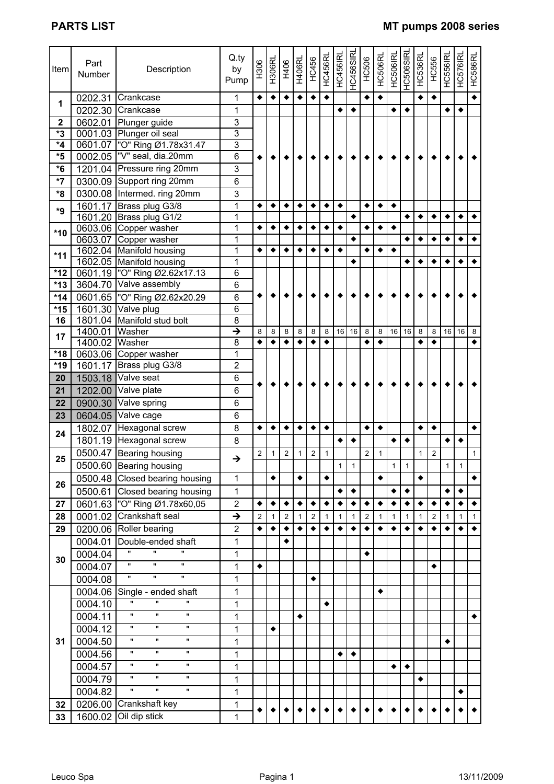| Item          | Part<br>Number     | Description                                         | Q.py<br>by<br>Pump               | H306             | <b>H306RL</b> | $\frac{100}{1400}$ | <b>H406RL</b>   | HC456           | HC456RL          | HC456IRL     | <b>HC456SIRI</b> | <b>HC506</b>    | HC506RL              | HC506IRL  | HC506SIRL    | HC536RL      | HC556           | HC556IRL     | HC576IRL     | HC586RI              |
|---------------|--------------------|-----------------------------------------------------|----------------------------------|------------------|---------------|--------------------|-----------------|-----------------|------------------|--------------|------------------|-----------------|----------------------|-----------|--------------|--------------|-----------------|--------------|--------------|----------------------|
| 1             | 0202.31            | Crankcase                                           | 1                                | $\blacklozenge$  | $\bullet$     | $\bullet$          | $\blacklozenge$ | $\blacklozenge$ | $\ddot{\bullet}$ |              |                  | $\blacklozenge$ | $\overline{\bullet}$ |           |              | $\bullet$    | $\blacklozenge$ |              |              | $\overline{\bullet}$ |
|               | 0202.30            | Crankcase                                           | 1                                |                  |               |                    |                 |                 |                  | ٠            | $\bullet$        |                 |                      | $\bullet$ |              |              |                 | ٠            |              |                      |
| $\mathbf 2$   | 0602.01            | Plunger guide                                       | 3                                |                  |               |                    |                 |                 |                  |              |                  |                 |                      |           |              |              |                 |              |              |                      |
| *3<br>$*_{4}$ |                    | 0001.03 Plunger oil seal                            | $\overline{3}$<br>$\overline{3}$ |                  |               |                    |                 |                 |                  |              |                  |                 |                      |           |              |              |                 |              |              |                      |
| *5            | 0002.05            | 0601.07  "O" Ring Ø1.78x31.47<br>"V" seal, dia.20mm | 6                                |                  |               |                    |                 |                 |                  |              |                  |                 |                      |           |              |              |                 |              |              |                      |
| *6            | 1201.04            | Pressure ring 20mm                                  | 3                                | ٠                |               |                    |                 |                 |                  |              |                  |                 |                      |           |              |              |                 |              |              |                      |
| $*7$          | 0300.09            | Support ring 20mm                                   | 6                                |                  |               |                    |                 |                 |                  |              |                  |                 |                      |           |              |              |                 |              |              |                      |
| *8            |                    | 0300.08 Intermed. ring 20mm                         |                                  |                  |               |                    |                 |                 |                  |              |                  |                 |                      |           |              |              |                 |              |              |                      |
|               |                    |                                                     | 3<br>1                           | ٠                | ٠             | ٠                  | ٠               | ٠               | ٠                | ٠            |                  | ٠               | ٠                    | $\bullet$ |              |              |                 |              |              |                      |
| *9            | 1601.17<br>1601.20 | Brass plug G3/8<br>Brass plug G1/2                  | 1                                |                  |               |                    |                 |                 |                  |              | ٠                |                 |                      |           |              | ٠            | ٠               | ٠            |              |                      |
|               |                    | 0603.06 Copper washer                               | 1                                | ٠                | ٠             |                    |                 | ٠               | ٠                | ٠            |                  | ٠               | ٠                    | ٠         |              |              |                 |              |              |                      |
| $*10$         | 0603.07            | Copper washer                                       | 1                                |                  |               |                    |                 |                 |                  |              | $\bullet$        |                 |                      |           |              | ٠            | ٠               | ٠            | ٠            |                      |
|               | 1602.04            | Manifold housing                                    | 1                                | $\bullet$        | ٠             | ٠                  | $\bullet$       | ٠               | ٠                | ٠            |                  | ٠               | ٠                    | $\bullet$ |              |              |                 |              |              |                      |
| $*11$         |                    | 1602.05 Manifold housing                            | 1                                |                  |               |                    |                 |                 |                  |              | ٠                |                 |                      |           |              | ٠            | ٠               | ٠            |              |                      |
| $*12$         |                    | 0601.19  "O" Ring Ø2.62x17.13                       | $\overline{6}$                   |                  |               |                    |                 |                 |                  |              |                  |                 |                      |           |              |              |                 |              |              |                      |
| $*13$         | 3604.70            | Valve assembly                                      | 6                                |                  |               |                    |                 |                 |                  |              |                  |                 |                      |           |              |              |                 |              |              |                      |
| $*14$         | 0601.65            | "O" Ring Ø2.62x20.29                                | 6                                |                  |               |                    |                 |                 |                  |              |                  |                 |                      |           |              |              |                 |              |              |                      |
| $*15$         | 1601.30            | Valve plug                                          | $\overline{6}$                   |                  |               |                    |                 |                 |                  |              |                  |                 |                      |           |              |              |                 |              |              |                      |
| 16            | 1801.04            | Manifold stud bolt                                  | 8                                |                  |               |                    |                 |                 |                  |              |                  |                 |                      |           |              |              |                 |              |              |                      |
| 17            | 1400.01            | Washer                                              | ₹                                | 8                | 8             | 8                  | 8               | 8               | 8                | 16           | 16               | $\bf 8$         | 8                    | 16        | 16           | 8            | 8               | 16           | 16           | 8                    |
|               | 1400.02            | Washer                                              | 8                                | $\bullet$        | $\bullet$     | ٠                  | ٠               | ٠               | ٠                |              |                  | ٠               | ٠                    |           |              | ٠            | ٠               |              |              | ٠                    |
| $*18$         | 0603.06            | Copper washer                                       | 1                                |                  |               |                    |                 |                 |                  |              |                  |                 |                      |           |              |              |                 |              |              |                      |
| *19           | 1601.17            | Brass plug G3/8                                     | $\overline{c}$                   |                  |               |                    |                 |                 |                  |              |                  |                 |                      |           |              |              |                 |              |              |                      |
| 20            | 1503.18            | Valve seat                                          | 6                                |                  |               |                    |                 |                 |                  |              |                  |                 |                      |           |              |              |                 |              |              |                      |
| 21            | 1202.00            | Valve plate                                         | 6                                |                  |               |                    |                 |                 |                  |              |                  |                 |                      |           |              |              |                 |              |              |                      |
| 22            | 0900.30            | Valve spring                                        | 6                                |                  |               |                    |                 |                 |                  |              |                  |                 |                      |           |              |              |                 |              |              |                      |
| 23            | 0604.05            | Valve cage                                          | 6                                |                  |               |                    |                 |                 |                  |              |                  |                 |                      |           |              |              |                 |              |              |                      |
| 24            | 1802.07            | Hexagonal screw                                     | 8                                | $\blacklozenge$  | $\bullet$     | $\bullet$          | $\bullet$       | ٠               | ٠                |              |                  | ٠               | $\bullet$            |           |              | ٠            | $\bullet$       |              |              | ٠                    |
|               | 1801.19            | Hexagonal screw                                     | 8                                |                  |               |                    |                 |                 |                  | ٠            | ٠                |                 |                      | ٠         |              |              |                 | ٠            | ٠            |                      |
| 25            | 0500.47            | Bearing housing                                     | →                                | $\overline{c}$   | 1             | $\overline{c}$     | 1               | $\overline{2}$  | 1                |              |                  | $\overline{c}$  | 1                    |           |              | 1            | $\overline{c}$  |              |              | $\mathbf{1}$         |
|               |                    | 0500.60 Bearing housing                             |                                  |                  |               |                    |                 |                 |                  | 1            | 1                |                 |                      | 1         | $\mathbf{1}$ |              |                 | 1            | 1            |                      |
| 26            |                    | 0500.48 Closed bearing housing                      | 1                                |                  | ٠             |                    | ٠               |                 | ٠                |              |                  |                 | ٠                    |           |              | ٠            |                 |              |              | ٠                    |
|               | 0500.61            | Closed bearing housing                              | $\mathbf 1$                      |                  |               |                    |                 |                 |                  |              | ٠                |                 |                      | ٠         |              |              |                 |              |              |                      |
| 27            | 0601.63            | "O" Ring Ø1.78x60,05                                | $\overline{2}$                   | ٠                | ٠             | ٠                  |                 | ٠               | ٠                | ٠            | ٠                | ٠               | $\bullet$            | ٠         |              | ٠            | ٠               | ٠            | ٠            | ٠                    |
| 28            | 0001.02            | Crankshaft seal                                     | →                                | $\boldsymbol{2}$ | $\mathbf{1}$  | $\sqrt{2}$         | $\mathbf{1}$    | $\overline{c}$  | 1                | $\mathbf{1}$ | $\mathbf{1}$     | $\sqrt{2}$      | $\mathbf{1}$         | 1         | $\mathbf{1}$ | $\mathbf{1}$ | $\overline{a}$  | $\mathbf{1}$ | $\mathbf{1}$ | $\mathbf{1}$         |
| 29            |                    | 0200.06 Roller bearing                              | $\overline{2}$                   | ٠                | ٠             |                    |                 |                 |                  |              |                  |                 |                      |           |              |              |                 |              |              |                      |
|               | 0004.01            | Double-ended shaft                                  | 1                                |                  |               | ٠                  |                 |                 |                  |              |                  |                 |                      |           |              |              |                 |              |              |                      |
|               | 0004.04            | π.<br>$\mathbf{H}$<br>$\mathbf{u}$                  | 1                                |                  |               |                    |                 |                 |                  |              |                  | ٠               |                      |           |              |              |                 |              |              |                      |
| 30            | 0004.07            | $\mathbf{H}$<br>H.                                  | 1                                | $\blacklozenge$  |               |                    |                 |                 |                  |              |                  |                 |                      |           |              |              | ٠               |              |              |                      |
|               | 0004.08            | u,<br>H.                                            | 1                                |                  |               |                    |                 | ٠               |                  |              |                  |                 |                      |           |              |              |                 |              |              |                      |
|               | 0004.06            | Single - ended shaft                                | 1                                |                  |               |                    |                 |                 |                  |              |                  |                 | ٠                    |           |              |              |                 |              |              |                      |
|               | 0004.10            |                                                     | 1                                |                  |               |                    |                 |                 | ٠                |              |                  |                 |                      |           |              |              |                 |              |              |                      |
|               | 0004.11            | $\pmb{\mathfrak{m}}$<br>Ħ                           | 1                                |                  |               |                    | ٠               |                 |                  |              |                  |                 |                      |           |              |              |                 |              |              | ٠                    |
|               | 0004.12            | Ħ<br>$\mathbf{H}$                                   | 1                                |                  | ٠             |                    |                 |                 |                  |              |                  |                 |                      |           |              |              |                 |              |              |                      |
| 31            | 0004.50            | $\mathbf{H}$<br>Ħ                                   | 1                                |                  |               |                    |                 |                 |                  |              |                  |                 |                      |           |              |              |                 | ٠            |              |                      |
|               | 0004.56            | $\mathbf{H}$<br>Ħ                                   | 1                                |                  |               |                    |                 |                 |                  | ٠            | ٠                |                 |                      |           |              |              |                 |              |              |                      |
|               | 0004.57            | Ħ                                                   | 1                                |                  |               |                    |                 |                 |                  |              |                  |                 |                      | ٠         | ٠            |              |                 |              |              |                      |
|               | 0004.79            | $\mathbf{u}$<br>$\mathbf{H}$<br>Ħ                   | 1                                |                  |               |                    |                 |                 |                  |              |                  |                 |                      |           |              | ٠            |                 |              |              |                      |
|               | 0004.82            | $\mathbf{u}$<br>Ħ<br>H.                             | 1                                |                  |               |                    |                 |                 |                  |              |                  |                 |                      |           |              |              |                 |              |              |                      |
| 32            | 0206.00            | Crankshaft key                                      | 1                                |                  |               |                    |                 |                 |                  |              |                  |                 |                      |           |              |              |                 |              |              |                      |
| 33            | 1600.02            | Oil dip stick                                       | 1                                |                  |               |                    |                 |                 |                  |              |                  |                 |                      |           |              |              |                 |              |              |                      |
|               |                    |                                                     |                                  |                  |               |                    |                 |                 |                  |              |                  |                 |                      |           |              |              |                 |              |              |                      |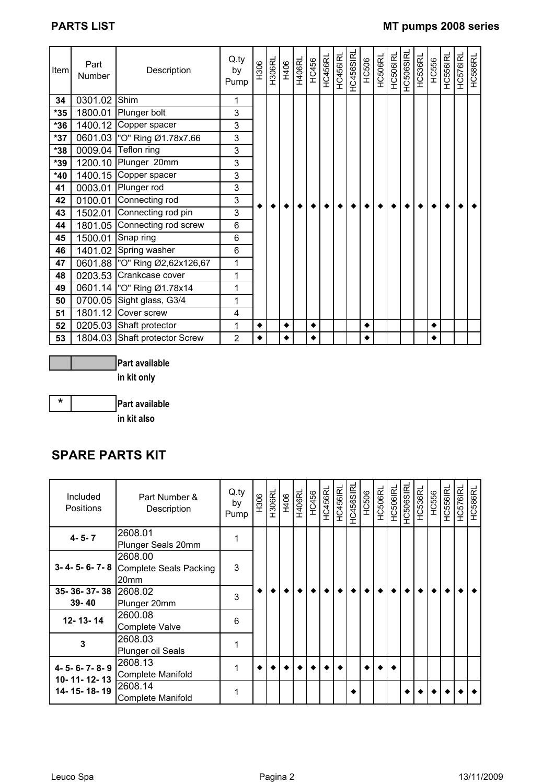| Item  | Part<br>Number | Description                    | Q.ty<br>by<br>Pump        | H306 | <b>H306RL</b> | <b>H406</b> | <b>H406RL</b> | HC456 | HC456RL | HC456IRL | <b>HC456SIRL</b> | <b>HC506</b> | HC506RL | HC506IRL | HC506SIRL | HC536RL | HC556 | <b>HC556IRL</b> | HC576IRL | HC586RL |
|-------|----------------|--------------------------------|---------------------------|------|---------------|-------------|---------------|-------|---------|----------|------------------|--------------|---------|----------|-----------|---------|-------|-----------------|----------|---------|
| 34    | 0301.02        | Shim                           | 1                         |      |               |             |               |       |         |          |                  |              |         |          |           |         |       |                 |          |         |
| $*35$ | 1800.01        | Plunger bolt                   | 3                         |      |               |             |               |       |         |          |                  |              |         |          |           |         |       |                 |          |         |
| $*36$ |                | 1400.12 Copper spacer          | 3                         |      |               |             |               |       |         |          |                  |              |         |          |           |         |       |                 |          |         |
| $*37$ |                | 0601.03  "O" Ring Ø1.78x7.66   | 3                         |      |               |             |               |       |         |          |                  |              |         |          |           |         |       |                 |          |         |
| $*38$ | 0009.04        | Teflon ring                    | 3                         |      |               |             |               |       |         |          |                  |              |         |          |           |         |       |                 |          |         |
| $*39$ | 1200.10        | Plunger 20mm                   | 3                         |      |               |             |               |       |         |          |                  |              |         |          |           |         |       |                 |          |         |
| $*40$ | 1400.15        | Copper spacer                  | 3                         |      |               |             |               |       |         |          |                  |              |         |          |           |         |       |                 |          |         |
| 41    | 0003.01        | Plunger rod                    | 3                         |      |               |             |               |       |         |          |                  |              |         |          |           |         |       |                 |          |         |
| 42    | 0100.01        | Connecting rod                 | $\ensuremath{\mathsf{3}}$ |      |               |             |               |       |         |          |                  |              |         |          |           |         |       |                 |          |         |
| 43    | 1502.01        | Connecting rod pin             | 3                         |      |               |             |               |       |         |          |                  |              |         |          |           |         |       |                 |          |         |
| 44    | 1801.05        | Connecting rod screw           | 6                         |      |               |             |               |       |         |          |                  |              |         |          |           |         |       |                 |          |         |
| 45    | 1500.01        | Snap ring                      | 6                         |      |               |             |               |       |         |          |                  |              |         |          |           |         |       |                 |          |         |
| 46    | 1401.02        | Spring washer                  | 6                         |      |               |             |               |       |         |          |                  |              |         |          |           |         |       |                 |          |         |
| 47    |                | 0601.88  "O" Ring Ø2,62x126,67 | 1                         |      |               |             |               |       |         |          |                  |              |         |          |           |         |       |                 |          |         |
| 48    |                | 0203.53 Crankcase cover        | 1                         |      |               |             |               |       |         |          |                  |              |         |          |           |         |       |                 |          |         |
| 49    |                | 0601.14  "O" Ring Ø1.78x14     | 1                         |      |               |             |               |       |         |          |                  |              |         |          |           |         |       |                 |          |         |
| 50    |                | 0700.05 Sight glass, G3/4      | 1                         |      |               |             |               |       |         |          |                  |              |         |          |           |         |       |                 |          |         |
| 51    | 1801.12        | Cover screw                    | 4                         |      |               |             |               |       |         |          |                  |              |         |          |           |         |       |                 |          |         |
| 52    |                | 0205.03 Shaft protector        | 1                         | ٠    |               | ٠           |               | ٠     |         |          |                  |              |         |          |           |         | ٠     |                 |          |         |
| 53    |                | 1804.03 Shaft protector Screw  | 2                         | ٠    |               |             |               |       |         |          |                  |              |         |          |           |         | ٠     |                 |          |         |

**Part available**

**in kit only**



**in kit also**

# **SPARE PARTS KIT**

| Included<br>Positions      | Part Number &<br>Description                                      | Q.ty<br>by<br>Pump | H306 | <b>H306RL</b> | H406 | <b>H406RL</b> | HC456 | <b>-C456RL</b> | HC456IRL | <b>-C456SIRL</b> | <b>HC506</b> | HC506RL | HC506IRL | <b>+C506SIRL</b> | HC536RL | HC556 | <b>HC556IRL</b> | HC576IRL | <b>HC586RL</b> |
|----------------------------|-------------------------------------------------------------------|--------------------|------|---------------|------|---------------|-------|----------------|----------|------------------|--------------|---------|----------|------------------|---------|-------|-----------------|----------|----------------|
| $4 - 5 - 7$                | 2608.01<br>Plunger Seals 20mm                                     |                    |      |               |      |               |       |                |          |                  |              |         |          |                  |         |       |                 |          |                |
|                            | 2608.00<br>3-4-5-6-7-8 Complete Seals Packing<br>20 <sub>mm</sub> | 3                  |      |               |      |               |       |                |          |                  |              |         |          |                  |         |       |                 |          |                |
| 35-36-37-38<br>39-40       | 2608.02<br>Plunger 20mm                                           | 3                  |      |               |      |               |       |                |          |                  |              |         |          |                  |         |       |                 |          |                |
| 12-13-14                   | 2600.08<br>Complete Valve                                         | 6                  |      |               |      |               |       |                |          |                  |              |         |          |                  |         |       |                 |          |                |
| 3                          | 2608.03<br>Plunger oil Seals                                      | 1                  |      |               |      |               |       |                |          |                  |              |         |          |                  |         |       |                 |          |                |
| 4-5-6-7-8-9<br>10-11-12-13 | 2608.13<br>Complete Manifold                                      | 1                  |      |               |      |               |       |                |          |                  |              |         |          |                  |         |       |                 |          |                |
| 14-15-18-19                | 2608.14<br>Complete Manifold                                      | 1                  |      |               |      |               |       |                |          |                  |              |         |          |                  |         |       |                 |          |                |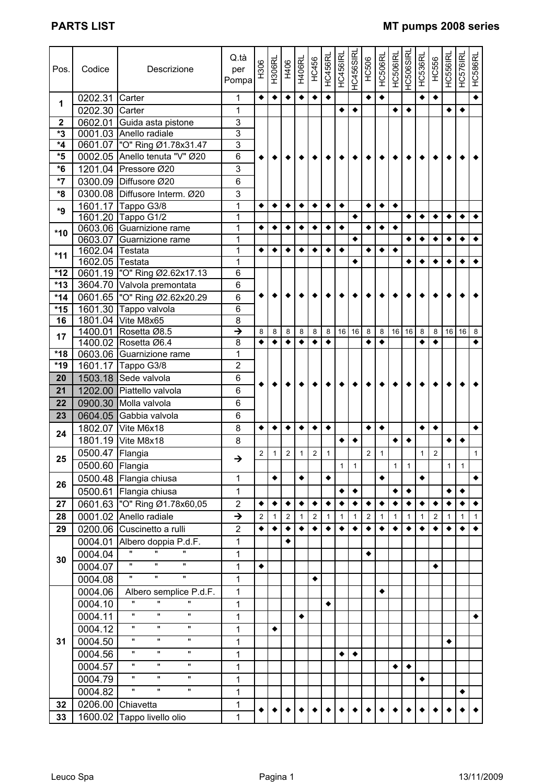| Pos.        | Codice             | Descrizione                             | Q.tà<br>per<br>Pompa     | H306            | <b>H306RL</b> | H406           | <b>H406RL</b>   | HC456                   | HC456RL         | HC456IRL     | <b>HC456SIRI</b> | $\overline{H}$ C506 | HC506RL              | HC506IRL     | HC506SIRL | HC536RL      | HC556           | <b>HC556IRL</b> | HC576IRL     | HC586RL              |
|-------------|--------------------|-----------------------------------------|--------------------------|-----------------|---------------|----------------|-----------------|-------------------------|-----------------|--------------|------------------|---------------------|----------------------|--------------|-----------|--------------|-----------------|-----------------|--------------|----------------------|
| 1           | 0202.31            | Carter                                  | 1                        | $\blacklozenge$ | $\bullet$     | $\bullet$      | $\blacklozenge$ | $\bullet$               | $\blacklozenge$ |              |                  | $\blacklozenge$     | $\overline{\bullet}$ |              |           | $\bullet$    | $\blacklozenge$ |                 |              | $\overline{\bullet}$ |
|             | 0202.30            | Carter                                  | 1                        |                 |               |                |                 |                         |                 | $\bullet$    | $\bullet$        |                     |                      | $\bullet$    | ٠         |              |                 | ٠               | ٠            |                      |
| $\mathbf 2$ | 0602.01            | Guida asta pistone                      | 3                        |                 |               |                |                 |                         |                 |              |                  |                     |                      |              |           |              |                 |                 |              |                      |
| *3          |                    | 0001.03 Anello radiale                  | 3                        |                 |               |                |                 |                         |                 |              |                  |                     |                      |              |           |              |                 |                 |              |                      |
| $*_{4}$     |                    | 0601.07  "O" Ring Ø1.78x31.47           | $\overline{3}$           |                 |               |                |                 |                         |                 |              |                  |                     |                      |              |           |              |                 |                 |              |                      |
| *5          | 0002.05            | Anello tenuta "V" Ø20                   | $6\phantom{1}6$          | ٠               |               | ٠              |                 |                         |                 |              |                  |                     |                      |              |           | ٠            |                 |                 |              |                      |
| $*6$        | 1201.04            | Pressore Ø20                            | 3                        |                 |               |                |                 |                         |                 |              |                  |                     |                      |              |           |              |                 |                 |              |                      |
| $*7$        | 0300.09            | Diffusore Ø20                           | $6\phantom{1}6$          |                 |               |                |                 |                         |                 |              |                  |                     |                      |              |           |              |                 |                 |              |                      |
| *8          | 0300.08            | Diffusore Interm. Ø20                   | 3                        |                 |               |                |                 |                         |                 |              |                  |                     |                      |              |           |              |                 |                 |              |                      |
| *9          | 1601.17            | Tappo G3/8                              | $\overline{1}$           | $\bullet$       | ٠             | $\bullet$      | ٠               | ٠                       | ٠               | ٠            |                  | ٠                   | ٠                    | $\bullet$    |           |              |                 |                 |              |                      |
|             | 1601.20            | Tappo G1/2                              | 1                        |                 |               |                |                 |                         |                 |              | ٠                |                     |                      |              | ٠         | ٠            | ٠               | ٠               | ٠            | ٠                    |
| $*10$       |                    | 0603.06 Guarnizione rame                | 1<br>1                   | ٠               | ٠             | ٠              | ٠               |                         | ٠               | ٠            | $\bullet$        | ٠                   | ٠                    | ٠            | ٠         | ٠            | ٠               | ٠               | ٠            | ٠                    |
|             | 0603.07<br>1602.04 | Guarnizione rame<br>Testata             | 1                        | $\bullet$       | ٠             | $\bullet$      | ٠               | ٠                       | ٠               | $\bullet$    |                  | ٠                   | $\bullet$            | $\bullet$    |           |              |                 |                 |              |                      |
| $*11$       | 1602.05            | Testata                                 | 1                        |                 |               |                |                 |                         |                 |              | ٠                |                     |                      |              | ٠         | ٠            | ٠               | ٠               | ٠            | ٠                    |
| $*12$       |                    | 0601.19  "O" Ring Ø2.62x17.13           | $\overline{6}$           |                 |               |                |                 |                         |                 |              |                  |                     |                      |              |           |              |                 |                 |              |                      |
| $*13$       | 3604.70            | Valvola premontata                      | $\,6$                    |                 |               |                |                 |                         |                 |              |                  |                     |                      |              |           |              |                 |                 |              |                      |
| $*14$       | 0601.65            | "O" Ring Ø2.62x20.29                    | $\,6$                    | ٠               |               |                |                 |                         |                 |              |                  |                     |                      |              |           |              |                 |                 |              |                      |
| $*15$       | 1601.30            | Tappo valvola                           | $6\phantom{1}6$          |                 |               |                |                 |                         |                 |              |                  |                     |                      |              |           |              |                 |                 |              |                      |
| 16          | 1801.04            | Vite M8x65                              | 8                        |                 |               |                |                 |                         |                 |              |                  |                     |                      |              |           |              |                 |                 |              |                      |
|             | 1400.01            | Rosetta Ø8.5                            | $\overline{\phantom{0}}$ | 8               | 8             | 8              | 8               | 8                       | 8               | 16           | 16               | 8                   | 8                    |              | 16 16     | 8            | 8               | 16              | 16           | 8                    |
| 17          | 1400.02            | Rosetta Ø6.4                            | 8                        | $\bullet$       | ٠             | ٠              | ٠               | ٠                       | $\bullet$       |              |                  | ٠                   | ٠                    |              |           | ٠            | $\bullet$       |                 |              | ٠                    |
| $*18$       |                    | 0603.06 Guarnizione rame                | 1                        |                 |               |                |                 |                         |                 |              |                  |                     |                      |              |           |              |                 |                 |              |                      |
| $*19$       |                    | 1601.17 Tappo G3/8                      | $\overline{c}$           |                 |               |                |                 |                         |                 |              |                  |                     |                      |              |           |              |                 |                 |              |                      |
| 20          | 1503.18            | Sede valvola                            | $6\phantom{1}6$          | ٠               |               |                |                 |                         |                 |              |                  |                     |                      |              |           |              |                 |                 |              |                      |
| 21          | 1202.00            | Piattello valvola                       | $6\phantom{1}6$          |                 |               |                |                 |                         |                 |              |                  |                     |                      |              |           |              |                 |                 |              |                      |
| 22          | 0900.30            | Molla valvola                           | $6\phantom{1}6$          |                 |               |                |                 |                         |                 |              |                  |                     |                      |              |           |              |                 |                 |              |                      |
| 23          | 0604.05            | Gabbia valvola                          | $6\phantom{1}6$          |                 |               |                |                 |                         |                 |              |                  |                     |                      |              |           |              |                 |                 |              |                      |
|             | 1802.07            | Vite M6x18                              | 8                        | $\blacklozenge$ | $\bullet$     | $\bullet$      | ٠               | ٠                       | ٠               |              |                  | $\bullet$           | ٠                    |              |           | ٠            | $\blacklozenge$ |                 |              | ٠                    |
| 24          | 1801.19            | Vite M8x18                              | 8                        |                 |               |                |                 |                         |                 | ٠            | ٠                |                     |                      | ٠            | ٠         |              |                 | ٠               | ٠            |                      |
|             | 0500.47 Flangia    |                                         |                          | $\overline{2}$  | 1             | $\overline{c}$ | 1               | $\overline{\mathbf{c}}$ | $\mathbf{1}$    |              |                  | $\overline{c}$      | $\mathbf{1}$         |              |           | $\mathbf{1}$ | $\overline{2}$  |                 |              | $\mathbf{1}$         |
| 25          | 0500.60 Flangia    |                                         | →                        |                 |               |                |                 |                         |                 | $\mathbf{1}$ | $\mathbf{1}$     |                     |                      | $\mathbf{1}$ | 1         |              |                 | 1               | $\mathbf{1}$ |                      |
|             |                    | 0500.48 Flangia chiusa                  | 1                        |                 | ٠             |                | ٠               |                         | ٠               |              |                  |                     | ٠                    |              |           | ٠            |                 |                 |              | ٠                    |
| 26          | 0500.61            | Flangia chiusa                          | 1                        |                 |               |                |                 |                         |                 | ٠            | ٠                |                     |                      | ٠            |           |              |                 |                 | ٠            |                      |
| 27          |                    | 0601.63  "O" Ring Ø1.78x60,05           | $\mathbf 2$              | ٠               | ٠             | ٠              | ٠               | ٠                       | ٠               | ٠            | ٠                | ٠                   | ٠                    | ٠            |           | ٠            | ٠               |                 | ٠            | ٠                    |
| 28          | 0001.02            | Anello radiale                          | $\rightarrow$            | $\overline{c}$  | $\mathbf{1}$  | $\overline{2}$ | $\mathbf{1}$    | $\overline{2}$          | $\mathbf{1}$    | $\mathbf{1}$ | $\mathbf{1}$     | $\overline{c}$      | $\mathbf{1}$         | $\mathbf{1}$ | 1         | $\mathbf{1}$ | $\overline{2}$  | 1               | $\mathbf{1}$ | $\mathbf{1}$         |
| 29          |                    | 0200.06 Cuscinetto a rulli              | $\mathbf 2$              | ٠               |               | ٠              | ٠               |                         |                 | ٠            |                  |                     |                      | ٠            |           |              |                 |                 | ٠            | $\bullet$            |
|             | 0004.01            | Albero doppia P.d.F.                    | 1                        |                 |               | ٠              |                 |                         |                 |              |                  |                     |                      |              |           |              |                 |                 |              |                      |
|             | 0004.04            | H.<br>$\mathbf{u}$<br>Ħ.                | 1                        |                 |               |                |                 |                         |                 |              |                  | ٠                   |                      |              |           |              |                 |                 |              |                      |
| 30          | 0004.07            | H.<br>$\blacksquare$<br>H.              | 1                        | $\bullet$       |               |                |                 |                         |                 |              |                  |                     |                      |              |           |              | $\bullet$       |                 |              |                      |
|             | 0004.08            | $\mathbf u$<br>H.<br>H.                 | 1                        |                 |               |                |                 | ٠                       |                 |              |                  |                     |                      |              |           |              |                 |                 |              |                      |
|             | 0004.06            | Albero semplice P.d.F.                  | $\mathbf 1$              |                 |               |                |                 |                         |                 |              |                  |                     | ٠                    |              |           |              |                 |                 |              |                      |
|             | 0004.10            | $\mathbf{u}$<br>Ħ                       | 1                        |                 |               |                |                 |                         | ٠               |              |                  |                     |                      |              |           |              |                 |                 |              |                      |
|             | 0004.11            | $\pmb{\mathsf{u}}$<br>$\mathbf{H}$      | 1                        |                 |               |                | ٠               |                         |                 |              |                  |                     |                      |              |           |              |                 |                 |              | $\blacklozenge$      |
|             | 0004.12            | $\mathbf{u}$<br>$\mathbf{u}$<br>H       | 1                        |                 | ٠             |                |                 |                         |                 |              |                  |                     |                      |              |           |              |                 |                 |              |                      |
| 31          |                    | $\pmb{\mathsf{u}}$<br>Ħ<br>$\mathbf{H}$ | 1                        |                 |               |                |                 |                         |                 |              |                  |                     |                      |              |           |              |                 |                 |              |                      |
|             | 0004.50<br>0004.56 | $\mathbf{u}$<br>H<br>$\mathbf{H}$       | 1                        |                 |               |                |                 |                         |                 | ٠            | ٠                |                     |                      |              |           |              |                 |                 |              |                      |
|             |                    | Ħ<br>$\mathbf{H}$                       |                          |                 |               |                |                 |                         |                 |              |                  |                     |                      |              |           |              |                 |                 |              |                      |
|             | 0004.57            | $\mathbf{H}$<br>$\mathbf{u}$            | 1                        |                 |               |                |                 |                         |                 |              |                  |                     |                      | ٠            | ٠         |              |                 |                 |              |                      |
|             | 0004.79            | Ħ<br>H<br>$\mathbf{H}$                  | 1                        |                 |               |                |                 |                         |                 |              |                  |                     |                      |              |           | ٠            |                 |                 |              |                      |
|             | 0004.82            |                                         | 1                        |                 |               |                |                 |                         |                 |              |                  |                     |                      |              |           |              |                 |                 | ٠            |                      |
| 32          | 0206.00            | Chiavetta                               | 1                        |                 |               |                |                 |                         |                 |              |                  |                     |                      |              |           |              |                 |                 |              |                      |
| 33          | 1600.02            | Tappo livello olio                      | 1                        |                 |               |                |                 |                         |                 |              |                  |                     |                      |              |           |              |                 |                 |              |                      |